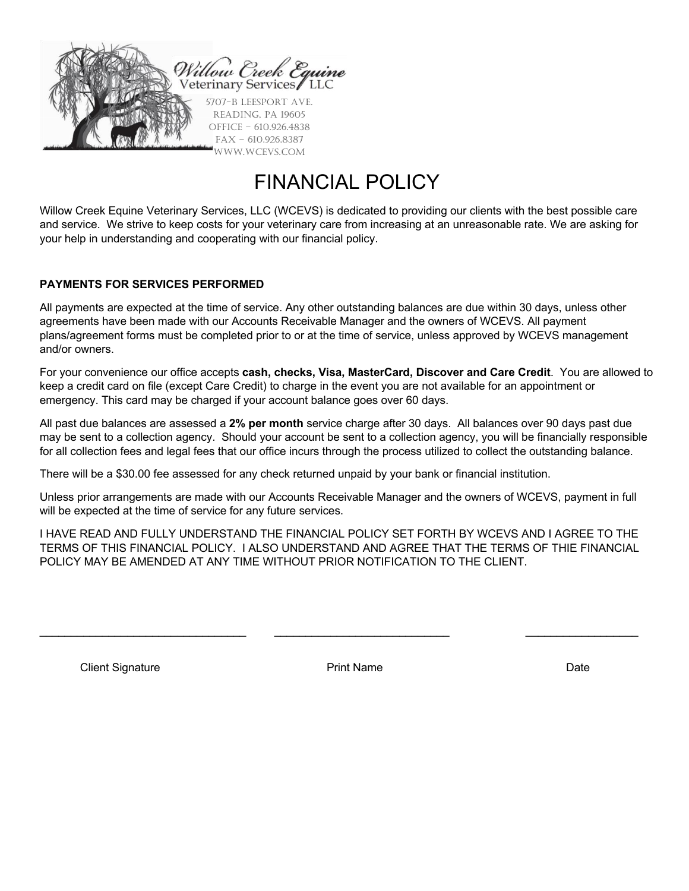

# FINANCIAL POLICY

Willow Creek Equine Veterinary Services, LLC (WCEVS) is dedicated to providing our clients with the best possible care and service. We strive to keep costs for your veterinary care from increasing at an unreasonable rate. We are asking for your help in understanding and cooperating with our financial policy.

#### **PAYMENTS FOR SERVICES PERFORMED**

All payments are expected at the time of service. Any other outstanding balances are due within 30 days, unless other agreements have been made with our Accounts Receivable Manager and the owners of WCEVS. All payment plans/agreement forms must be completed prior to or at the time of service, unless approved by WCEVS management and/or owners.

For your convenience our office accepts **cash, checks, Visa, MasterCard, Discover and Care Credit**. You are allowed to keep a credit card on file (except Care Credit) to charge in the event you are not available for an appointment or emergency. This card may be charged if your account balance goes over 60 days.

All past due balances are assessed a **2% per month** service charge after 30 days. All balances over 90 days past due may be sent to a collection agency. Should your account be sent to a collection agency, you will be financially responsible for all collection fees and legal fees that our office incurs through the process utilized to collect the outstanding balance.

There will be a \$30.00 fee assessed for any check returned unpaid by your bank or financial institution.

Unless prior arrangements are made with our Accounts Receivable Manager and the owners of WCEVS, payment in full will be expected at the time of service for any future services.

I HAVE READ AND FULLY UNDERSTAND THE FINANCIAL POLICY SET FORTH BY WCEVS AND I AGREE TO THE TERMS OF THIS FINANCIAL POLICY. I ALSO UNDERSTAND AND AGREE THAT THE TERMS OF THIE FINANCIAL POLICY MAY BE AMENDED AT ANY TIME WITHOUT PRIOR NOTIFICATION TO THE CLIENT.

 $\mathcal{L}_\text{max}$  , and the contribution of the contribution of the contribution of the contribution of the contribution of the contribution of the contribution of the contribution of the contribution of the contribution of t

Client Signature **Date Print Name Print Name Date Date Date**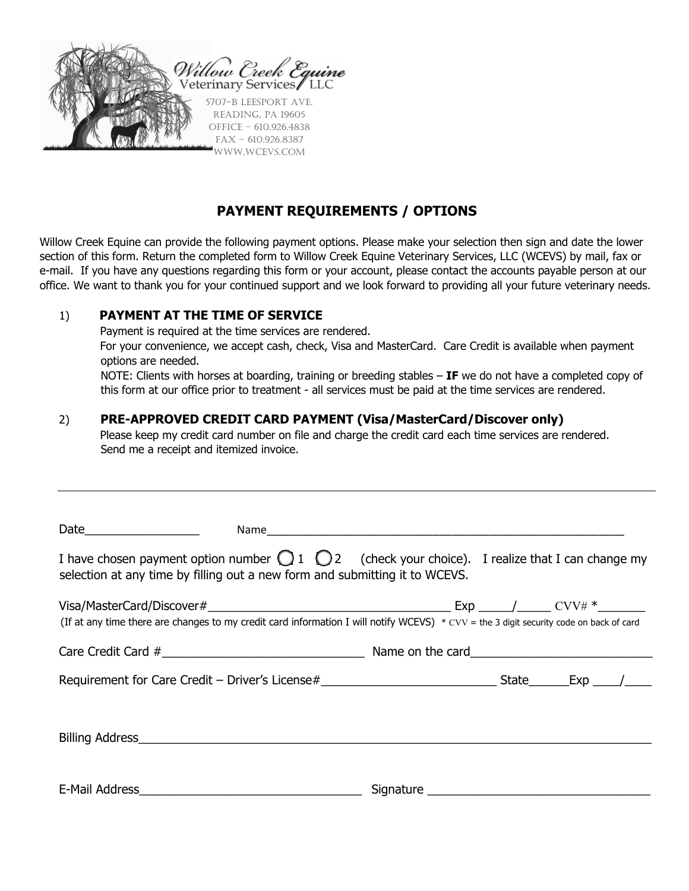

# **PAYMENT REQUIREMENTS / OPTIONS**

Willow Creek Equine can provide the following payment options. Please make your selection then sign and date the lower section of this form. Return the completed form to Willow Creek Equine Veterinary Services, LLC (WCEVS) by mail, fax or e-mail. If you have any questions regarding this form or your account, please contact the accounts payable person at our office. We want to thank you for your continued support and we look forward to providing all your future veterinary needs.

### 1) **PAYMENT AT THE TIME OF SERVICE**

Payment is required at the time services are rendered.

For your convenience, we accept cash, check, Visa and MasterCard. Care Credit is available when payment options are needed.

NOTE: Clients with horses at boarding, training or breeding stables – **IF** we do not have a completed copy of this form at our office prior to treatment - all services must be paid at the time services are rendered.

## 2) **PRE-APPROVED CREDIT CARD PAYMENT (Visa/MasterCard/Discover only)**

Please keep my credit card number on file and charge the credit card each time services are rendered. Send me a receipt and itemized invoice.

| I have chosen payment option number $\bigcirc$ 1 $\bigcirc$ 2 (check your choice). I realize that I can change my<br>selection at any time by filling out a new form and submitting it to WCEVS. |  |  |
|--------------------------------------------------------------------------------------------------------------------------------------------------------------------------------------------------|--|--|
| (If at any time there are changes to my credit card information I will notify WCEVS) $*$ cvv = the 3 digit security code on back of card                                                         |  |  |
|                                                                                                                                                                                                  |  |  |
|                                                                                                                                                                                                  |  |  |
|                                                                                                                                                                                                  |  |  |
|                                                                                                                                                                                                  |  |  |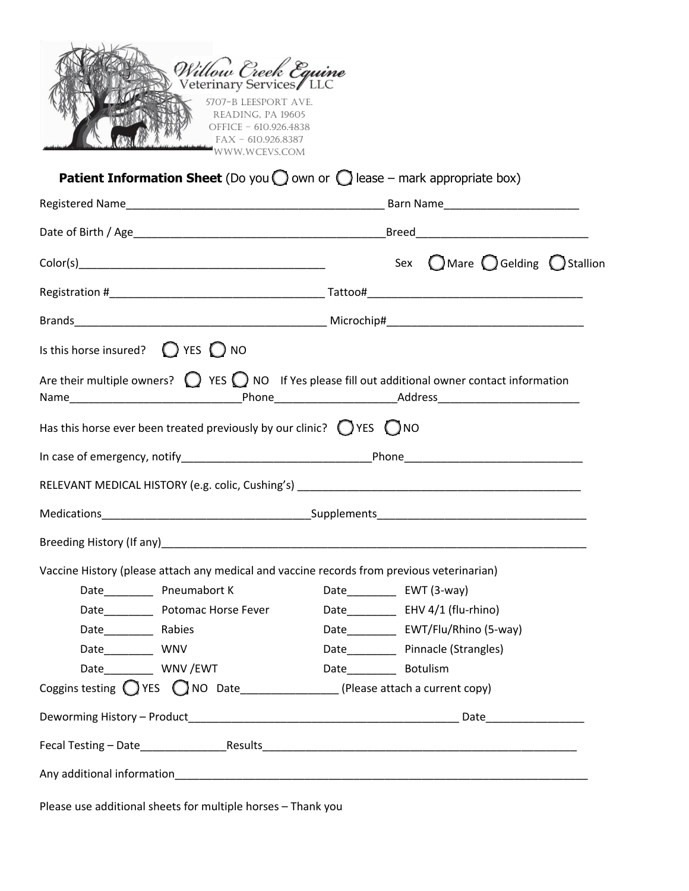| Willow Creek Equine<br>5707-B LEESPORT AVE.<br>READING, PA 19605<br>OFFICE - 610.926.4838<br>$FAX - 610.926.8387$<br>WWW.WCEVS.COM |                                                           |
|------------------------------------------------------------------------------------------------------------------------------------|-----------------------------------------------------------|
| <b>Patient Information Sheet</b> (Do you $\bigcirc$ own or $\bigcirc$ lease – mark appropriate box)                                |                                                           |
|                                                                                                                                    |                                                           |
|                                                                                                                                    |                                                           |
|                                                                                                                                    | Sex $\bigcap$ Mare $\bigcirc$ Gelding $\bigcirc$ Stallion |
|                                                                                                                                    |                                                           |
|                                                                                                                                    |                                                           |
| Is this horse insured? $\bigcirc$ YES $\bigcirc$ NO                                                                                |                                                           |
| Has this horse ever been treated previously by our clinic? $\bigcirc$ YES $\bigcirc$ NO                                            |                                                           |
|                                                                                                                                    |                                                           |
|                                                                                                                                    |                                                           |
| Vaccine History (please attach any medical and vaccine records from previous veterinarian)                                         |                                                           |
|                                                                                                                                    | Date_____________ EWT (3-way)                             |
| Date_____________ Potomac Horse Fever                                                                                              | Date______________ EHV 4/1 (flu-rhino)                    |
|                                                                                                                                    | Date_____________ EWT/Flu/Rhino (5-way)                   |
| Date_____________ WNV                                                                                                              | Date Pinnacle (Strangles)                                 |
| Date WNV/EWT                                                                                                                       | Date______________ Botulism                               |
| Coggins testing $\bigcirc$ YES $\bigcirc$ NO Date________________(Please attach a current copy)                                    |                                                           |
|                                                                                                                                    |                                                           |
|                                                                                                                                    |                                                           |
|                                                                                                                                    |                                                           |
| Please use additional sheets for multiple horses - Thank you                                                                       |                                                           |